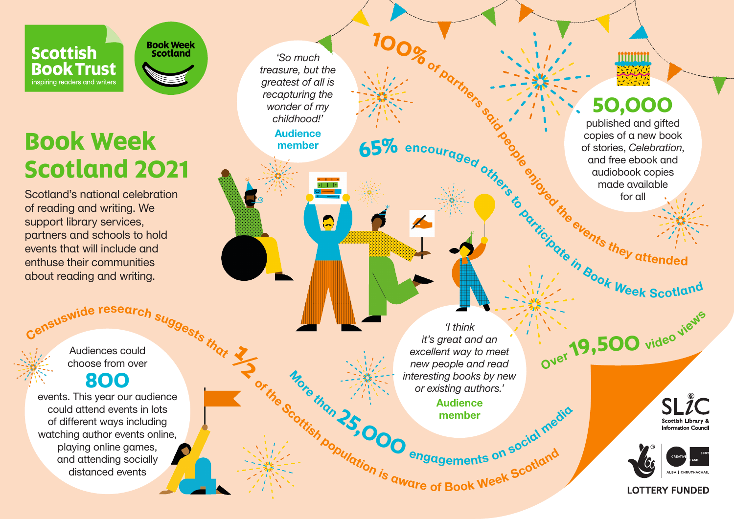

## **Book Week Scotland 2021**

**Book Week**<br>Scotland

Scotland's national celebration of reading and writing. We support library services, partners and schools to hold events that will include and enthuse their communities about reading and writing.

> Suswide research suggests that Audiences could choose from over

## **800**

events. This year our audience could attend events in lots of different ways including watching author events online, playing online games, and attending socially distanced events

*'So much treasure, but the greatest of all is recapturing the wonder of my childhood!'* 

> **Audience** member

> > $+ + +$

 $\bullet$ 

or the Scotting Scotting Scotting Scotting Scotting Scotting Scotting Scotting Scotting Scotting Scotting Scotting Scotting Scotting Scotting Scotting Scotting Scotting Scotting Scotting Scotting Scotting Scotting Scotting <sup>M</sup>or<sup>e</sup> <sup>t</sup>ha<sup>n</sup> **<sup>2</sup>5,00<sup>0</sup>** <sup>e</sup>ngagement<sup>s</sup> <sup>o</sup><sup>n</sup> <sup>s</sup>ocia<sup>l</sup> <sup>m</sup>edi<sup>a</sup> *'I think it's great and an excellent way to meet new people and read interesting books by new or existing authors.'* 

**100%** of part

Audience member

mmm

## **50,000**

published and gifted copies of a new book of stories, *Celebration*, and free ebook and audiobook copies made available for all **65%** encouraged other experience of the execution, and free ebook and audiobook copies of a new book of stories, *Celebration*, and free ebook and audiobook copies made available tor all and the execution of the scotland

Ove<sup>r</sup>**19,50<sup>0</sup>** <sup>v</sup>ide<sup>o</sup> <sup>v</sup>iew<sup>s</sup>

SLIC Scottish Library Information Count



**LOTTERY FUNDED**